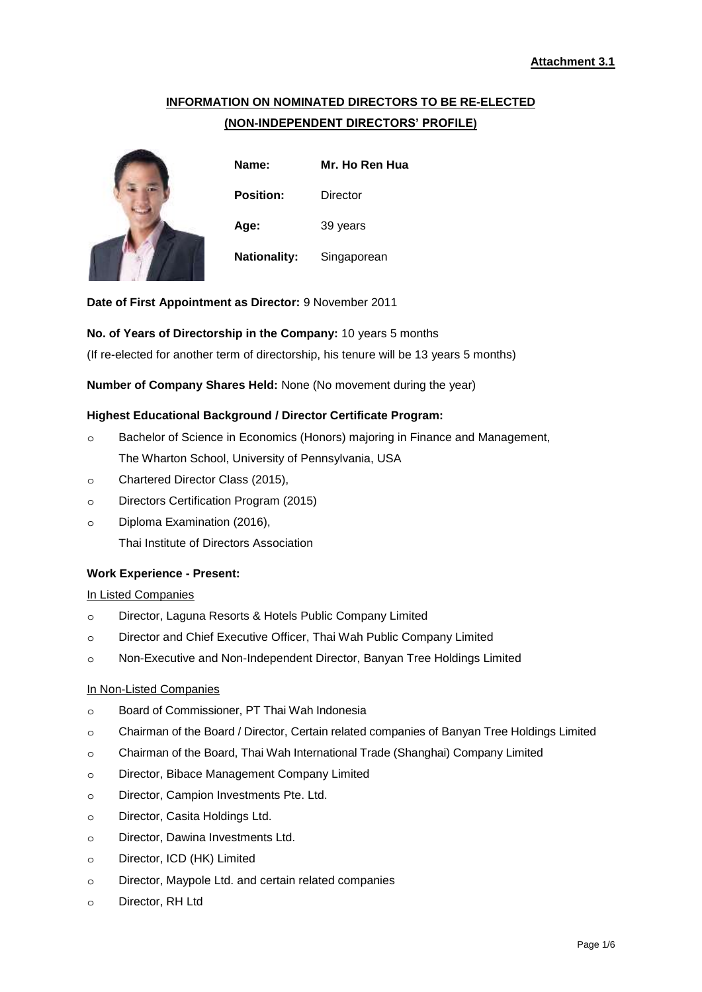# **INFORMATION ON NOMINATED DIRECTORS TO BE RE-ELECTED (NON-INDEPENDENT DIRECTORS' PROFILE)**



**Name: Mr. Ho Ren Hua Position:** Director **Age:** 39 years **Nationality:** Singaporean

**Date of First Appointment as Director:** 9 November 2011

# **No. of Years of Directorship in the Company:** 10 years 5 months

(If re-elected for another term of directorship, his tenure will be 13 years 5 months)

**Number of Company Shares Held:** None (No movement during the year)

# **Highest Educational Background / Director Certificate Program:**

- ๐ Bachelor of Science in Economics (Honors) majoring in Finance and Management, The Wharton School, University of Pennsylvania, USA
- ๐ Chartered Director Class (2015),
- ๐ Directors Certification Program (2015)
- ๐ Diploma Examination (2016), Thai Institute of Directors Association

# **Work Experience - Present:**

### In Listed Companies

- ๐ Director, Laguna Resorts & Hotels Public Company Limited
- ๐ Director and Chief Executive Officer, Thai Wah Public Company Limited
- ๐ Non-Executive and Non-Independent Director, Banyan Tree Holdings Limited

### In Non-Listed Companies

- ๐ Board of Commissioner, PT Thai Wah Indonesia
- ๐ Chairman of the Board / Director, Certain related companies of Banyan Tree Holdings Limited
- ๐ Chairman of the Board, Thai Wah International Trade (Shanghai) Company Limited
- ๐ Director, Bibace Management Company Limited
- ๐ Director, Campion Investments Pte. Ltd.
- ๐ Director, Casita Holdings Ltd.
- ๐ Director, Dawina Investments Ltd.
- ๐ Director, ICD (HK) Limited
- ๐ Director, Maypole Ltd. and certain related companies
- ๐ Director, RH Ltd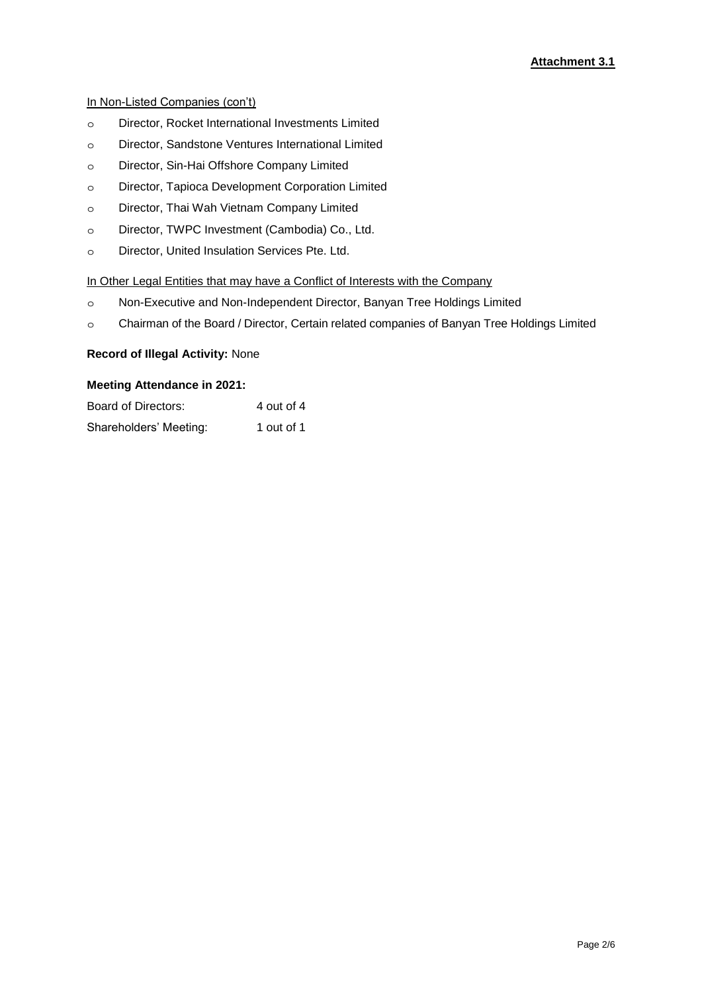# In Non-Listed Companies (con't)

- ๐ Director, Rocket International Investments Limited
- ๐ Director, Sandstone Ventures International Limited
- ๐ Director, Sin-Hai Offshore Company Limited
- ๐ Director, Tapioca Development Corporation Limited
- ๐ Director, Thai Wah Vietnam Company Limited
- ๐ Director, TWPC Investment (Cambodia) Co., Ltd.
- ๐ Director, United Insulation Services Pte. Ltd.

# In Other Legal Entities that may have a Conflict of Interests with the Company

- ๐ Non-Executive and Non-Independent Director, Banyan Tree Holdings Limited
- ๐ Chairman of the Board / Director, Certain related companies of Banyan Tree Holdings Limited

# **Record of Illegal Activity:** None

### **Meeting Attendance in 2021:**

| Board of Directors:    | 4 out of 4 |
|------------------------|------------|
| Shareholders' Meeting: | 1 out of 1 |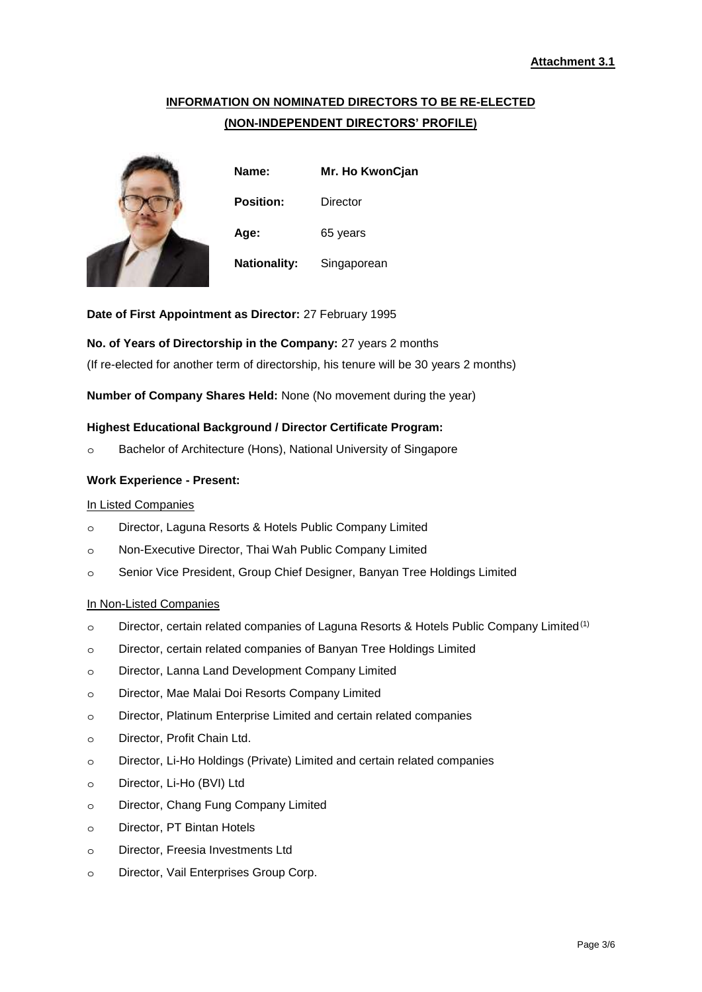# **INFORMATION ON NOMINATED DIRECTORS TO BE RE-ELECTED (NON-INDEPENDENT DIRECTORS' PROFILE)**



**Name: Mr. Ho KwonCjan Position:** Director **Age:** 65 years **Nationality:** Singaporean

**Date of First Appointment as Director:** 27 February 1995

# **No. of Years of Directorship in the Company:** 27 years 2 months

(If re-elected for another term of directorship, his tenure will be 30 years 2 months)

**Number of Company Shares Held:** None (No movement during the year)

# **Highest Educational Background / Director Certificate Program:**

๐ Bachelor of Architecture (Hons), National University of Singapore

# **Work Experience - Present:**

### In Listed Companies

- ๐ Director, Laguna Resorts & Hotels Public Company Limited
- ๐ Non-Executive Director, Thai Wah Public Company Limited
- ๐ Senior Vice President, Group Chief Designer, Banyan Tree Holdings Limited

# In Non-Listed Companies

- o Director, certain related companies of Laguna Resorts & Hotels Public Company Limited<sup>(1)</sup>
- ๐ Director, certain related companies of Banyan Tree Holdings Limited
- ๐ Director, Lanna Land Development Company Limited
- ๐ Director, Mae Malai Doi Resorts Company Limited
- ๐ Director, Platinum Enterprise Limited and certain related companies
- ๐ Director, Profit Chain Ltd.
- ๐ Director, Li-Ho Holdings (Private) Limited and certain related companies
- ๐ Director, Li-Ho (BVI) Ltd
- ๐ Director, Chang Fung Company Limited
- ๐ Director, PT Bintan Hotels
- ๐ Director, Freesia Investments Ltd
- ๐ Director, Vail Enterprises Group Corp.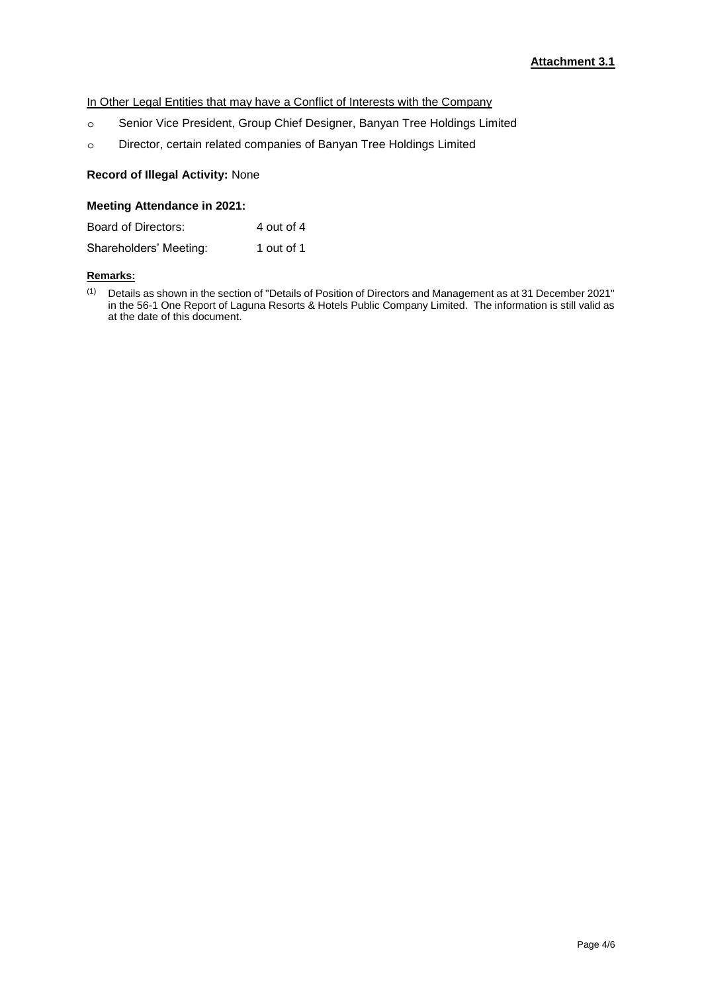# In Other Legal Entities that may have a Conflict of Interests with the Company

- ๐ Senior Vice President, Group Chief Designer, Banyan Tree Holdings Limited
- ๐ Director, certain related companies of Banyan Tree Holdings Limited

# **Record of Illegal Activity:** None

# **Meeting Attendance in 2021:**

| Board of Directors:    | 4 out of 4 |
|------------------------|------------|
| Shareholders' Meeting: | 1 out of 1 |

### **Remarks:**

(1) Details as shown in the section of "Details of Position of Directors and Management as at 31 December 2021" in the 56-1 One Report of Laguna Resorts & Hotels Public Company Limited. The information is still valid as at the date of this document.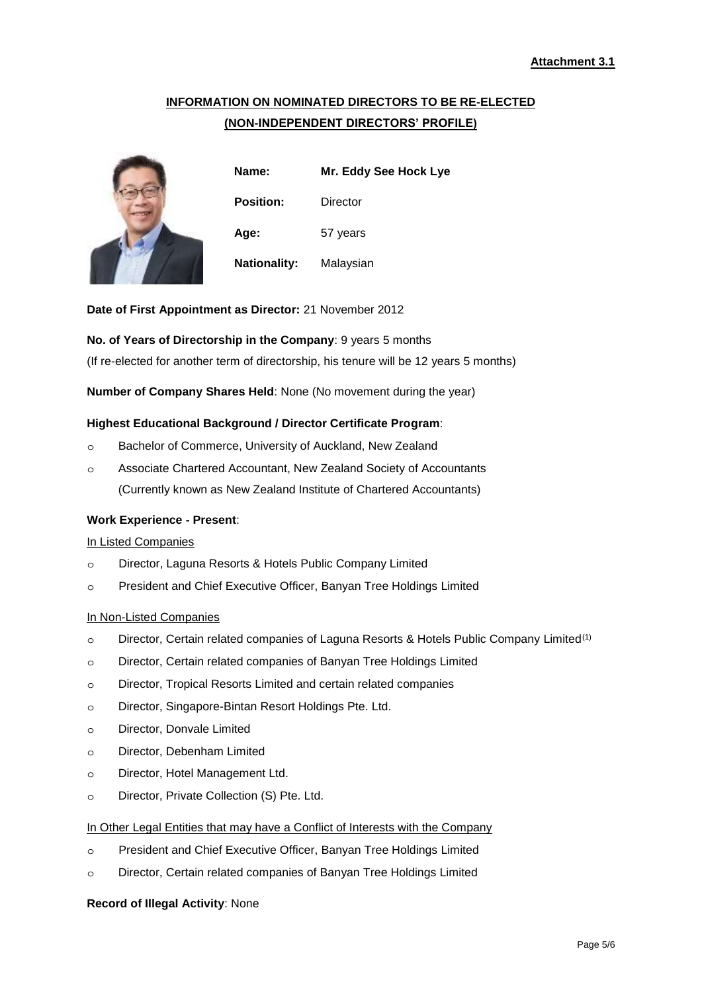# **INFORMATION ON NOMINATED DIRECTORS TO BE RE-ELECTED (NON-INDEPENDENT DIRECTORS' PROFILE)**



**Name: Mr. Eddy See Hock Lye Position:** Director **Age:** 57 years **Nationality:** Malaysian

**Date of First Appointment as Director:** 21 November 2012

### **No. of Years of Directorship in the Company**: 9 years 5 months

(If re-elected for another term of directorship, his tenure will be 12 years 5 months)

**Number of Company Shares Held**: None (No movement during the year)

### **Highest Educational Background / Director Certificate Program**:

- ๐ Bachelor of Commerce, University of Auckland, New Zealand
- ๐ Associate Chartered Accountant, New Zealand Society of Accountants (Currently known as New Zealand Institute of Chartered Accountants)

### **Work Experience - Present**:

### In Listed Companies

- ๐ Director, Laguna Resorts & Hotels Public Company Limited
- ๐ President and Chief Executive Officer, Banyan Tree Holdings Limited

### In Non-Listed Companies

- o Director, Certain related companies of Laguna Resorts & Hotels Public Company Limited<sup>(1)</sup>
- ๐ Director, Certain related companies of Banyan Tree Holdings Limited
- ๐ Director, Tropical Resorts Limited and certain related companies
- ๐ Director, Singapore-Bintan Resort Holdings Pte. Ltd.
- ๐ Director, Donvale Limited
- ๐ Director, Debenham Limited
- ๐ Director, Hotel Management Ltd.
- ๐ Director, Private Collection (S) Pte. Ltd.

### In Other Legal Entities that may have a Conflict of Interests with the Company

- ๐ President and Chief Executive Officer, Banyan Tree Holdings Limited
- ๐ Director, Certain related companies of Banyan Tree Holdings Limited

#### **Record of Illegal Activity**: None